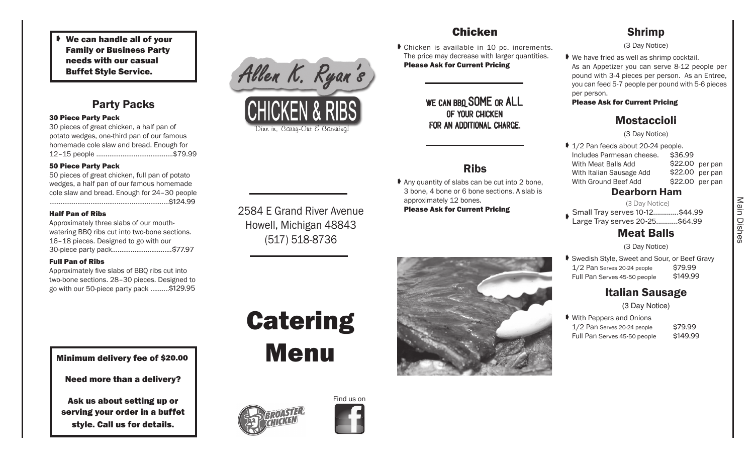We can handle all of your Family or Business Party needs with our casual Buffet Style Service.

## Party Packs

#### 30 Piece Party Pack

30 pieces of great chicken, a half pan of potato wedges, one-third pan of our famous homemade cole slaw and bread. Enough for 12–15 people .........................................\$79.99

#### 50 Piece Party Pack

50 pieces of great chicken, full pan of potato wedges, a half pan of our famous homemade cole slaw and bread. Enough for 24–30 people ................................................................\$119.99 \$124.99

#### Half Pan of Ribs

Approximately three slabs of our mouthwatering BBQ ribs cut into two-bone sections. 16–18 pieces. Designed to go with our 30-piece party pack.................................\$77.97

### Full Pan of Ribs

Approximately five slabs of BBQ ribs cut into two-bone sections. 28–30 pieces. Designed to go with our 50-piece party pack ..........\$104.95 \$129.95 2584 E Grand River Avenue Howell, Michigan 48843 (517) 518-8736

Allen K. Ryan's

CHICKEN & RIBS

Dine in, Canny-Out E Catening!

## Chicken

 Chicken is available in 10 pc. increments. The price may decrease with larger quantities. Please Ask for Current Pricing

## WE CAN BBO SOME OR ALL of your chicken for an additional charge.

# Ribs

Any quantity of slabs can be cut into 2 bone, 3 bone, 4 bone or 6 bone sections. A slab is approximately 12 bones. Please Ask for Current Pricing

## Shrimp

(3 Day Notice)

 We have fried as well as shrimp cocktail. As an Appetizer you can serve 8-12 people per pound with 3-4 pieces per person. As an Entree, you can feed 5-7 people per pound with 5-6 pieces per person.

## Please Ask for Current Pricing

# Mostaccioli

(3 Day Notice)

| Dooybouw Home |                                     |                 |  |  |  |  |  |  |
|---------------|-------------------------------------|-----------------|--|--|--|--|--|--|
|               | With Ground Beef Add                | \$22.00 per pan |  |  |  |  |  |  |
|               | With Italian Sausage Add            | \$22.00 per pan |  |  |  |  |  |  |
|               | With Meat Balls Add                 | \$22.00 per pan |  |  |  |  |  |  |
|               | Includes Parmesan cheese.           | \$36.99         |  |  |  |  |  |  |
|               | ♦ 1/2 Pan feeds about 20-24 people. |                 |  |  |  |  |  |  |

#### **Dearborn Ham**  $(3.54)$  Notice) (3 Day Notice)

→ Small Tray serves 10-12.............\$44.99<br>♦ Pargo Tray serves 20-25 Large Tray serves 20-25...........\$64.99

# Meat Balls

(3 Day Notice)

▶ Swedish Style, Sweet and Sour, or Beef Gravy  $1/2$  Pan Serves 20-24 people Full Pan Serves 45-50 people \$149.99 \$79.99

# Italian Sausage

(3 Day Notice)

| ♦ With Peppers and Onions    |          |
|------------------------------|----------|
| 1/2 Pan Serves 20-24 people  | \$79.99  |
| Full Pan Serves 45-50 people | \$149.99 |

Minimum delivery fee of \$20.00

Need more than a delivery?

Ask us about setting up or serving your order in a buffet style. Call us for details.

# **Catering** Menu